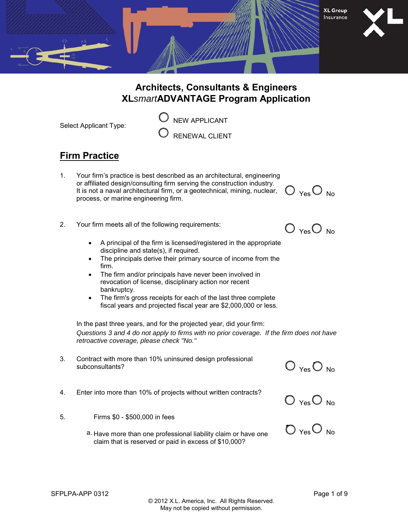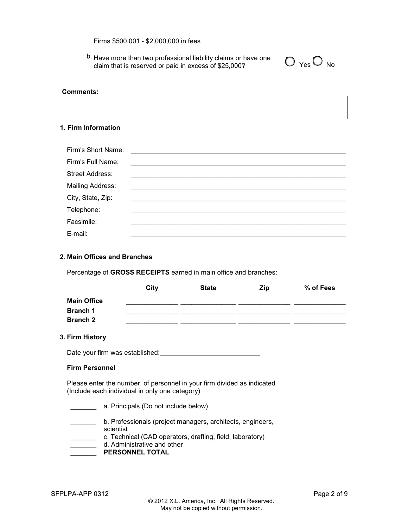Firms \$500,001 - \$2,000,000 in fees

b. Have more than two professional liability claims or have one claim that is reserved or paid in excess of \$25,000?

| ۷Α | N٥ |
|----|----|

#### **Comments:**

### **1**. **Firm Information**

| Firm's Short Name:      |  |
|-------------------------|--|
| Firm's Full Name:       |  |
| <b>Street Address:</b>  |  |
| <b>Mailing Address:</b> |  |
| City, State, Zip:       |  |
| Telephone:              |  |
| Facsimile:              |  |
| E-mail:                 |  |

# **2**. **Main Offices and Branches**

Percentage of **GROSS RECEIPTS** earned in main office and branches:

|                    | City | <b>State</b> | <b>Zip</b> | % of Fees |
|--------------------|------|--------------|------------|-----------|
| <b>Main Office</b> |      |              |            |           |
| <b>Branch 1</b>    |      |              |            |           |
| <b>Branch 2</b>    |      |              |            |           |

## **3. Firm History**

Date your firm was established:

## **Firm Personnel**

Please enter the number of personnel in your firm divided as indicated (Include each individual in only one category)

- \_\_\_\_\_\_\_ a. Principals (Do not include below)
- \_\_\_\_\_\_\_ b. Professionals (project managers, architects, engineers,
- scientist
	- \_\_\_\_\_\_\_ c. Technical (CAD operators, drafting, field, laboratory)
- **Lacks** d. Administrative and other
- **PERSONNEL TOTAL**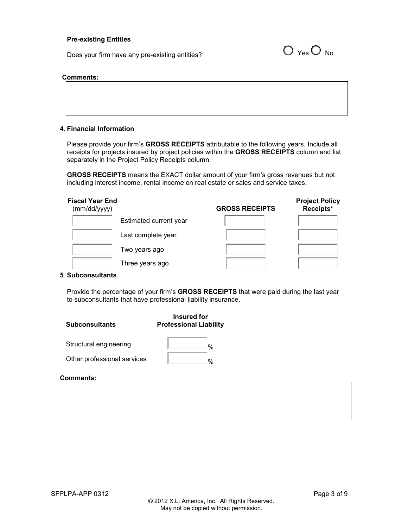#### **Pre-existing Entities**

Does your firm have any pre-existing entities?  $O_{\text{Yes}}O_{\text{No}}$ 



#### **Comments:**

| , , , , , , , , , , , , , , |
|-----------------------------|
|                             |
|                             |
|                             |
|                             |
|                             |
|                             |
|                             |
|                             |
|                             |
|                             |
|                             |
|                             |
|                             |
|                             |

## **4**. **Financial Information**

Please provide your firm's **GROSS RECEIPTS** attributable to the following years. Include all receipts for projects insured by project policies within the **GROSS RECEIPTS** column and list separately in the Project Policy Receipts column.

**GROSS RECEIPTS** means the EXACT dollar amount of your firm's gross revenues but not including interest income, rental income on real estate or sales and service taxes.

| Fiscal Year End<br>(mm/dd/yyyy) | <b>GROSS RECEIPTS</b> | <b>Project Policy</b><br>Receipts* |
|---------------------------------|-----------------------|------------------------------------|
| Estimated current year          |                       |                                    |
| Last complete year              |                       |                                    |
| Two years ago                   |                       |                                    |
| Three years ago                 |                       |                                    |

#### **5**. **Subconsultants**

Provide the percentage of your firm's **GROSS RECEIPTS** that were paid during the last year to subconsultants that have professional liability insurance.

| <b>Subconsultants</b>       | Insured for<br><b>Professional Liability</b> |  |
|-----------------------------|----------------------------------------------|--|
| Structural engineering      | %                                            |  |
| Other professional services | $\frac{0}{6}$                                |  |

#### **Comments:**

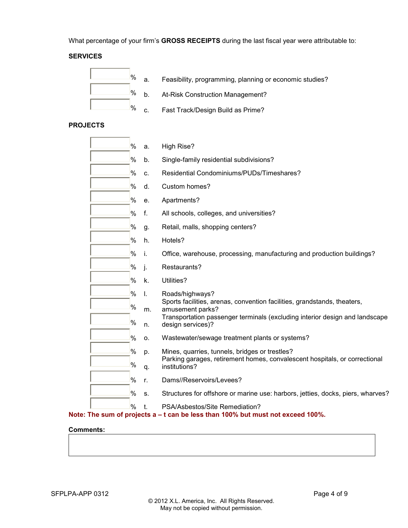What percentage of your firm's **GROSS RECEIPTS** during the last fiscal year were attributable to:

# **SERVICES**



- $\%$  a. Feasibility, programming, planning or economic studies?
- $%$  b. At-Risk Construction Management?
- $% c.$  Fast Track/Design Build as Prime?

# **PROJECTS**

| %             | a. | High Rise?                                                                                                        |
|---------------|----|-------------------------------------------------------------------------------------------------------------------|
| %             | b. | Single-family residential subdivisions?                                                                           |
| %             | c. | Residential Condominiums/PUDs/Timeshares?                                                                         |
| %             | d. | Custom homes?                                                                                                     |
| %             | e. | Apartments?                                                                                                       |
| %             | f. | All schools, colleges, and universities?                                                                          |
| %             | g. | Retail, malls, shopping centers?                                                                                  |
| %             | h. | Hotels?                                                                                                           |
| %             | i. | Office, warehouse, processing, manufacturing and production buildings?                                            |
| %             | j. | Restaurants?                                                                                                      |
| %             | k. | Utilities?                                                                                                        |
| %             | I. | Roads/highways?                                                                                                   |
| %             | m. | Sports facilities, arenas, convention facilities, grandstands, theaters,<br>amusement parks?                      |
| %             | n. | Transportation passenger terminals (excluding interior design and landscape<br>design services)?                  |
| %             | о. | Wastewater/sewage treatment plants or systems?                                                                    |
| %             | p. | Mines, quarries, tunnels, bridges or trestles?                                                                    |
| %             | q. | Parking garages, retirement homes, convalescent hospitals, or correctional<br>institutions?                       |
| $\%$          | r. | Dams//Reservoirs/Levees?                                                                                          |
| %             | S. | Structures for offshore or marine use: harbors, jetties, docks, piers, wharves?                                   |
| $\frac{0}{0}$ |    | PSA/Asbestos/Site Remediation?<br>Note: The sum of projects a – t can be less than 100% but must not exceed 100%. |

## **Comments:**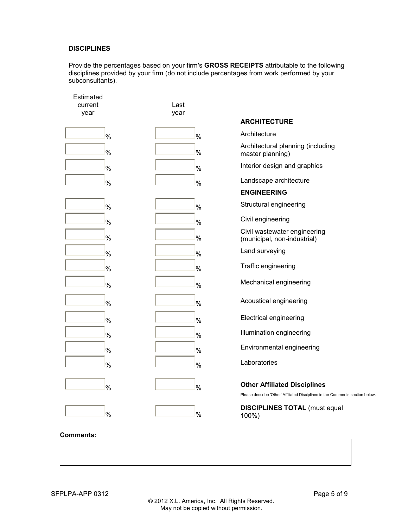## **DISCIPLINES**

Provide the percentages based on your firm's **GROSS RECEIPTS** attributable to the following disciplines provided by your firm (do not include percentages from work performed by your subconsultants).

| Estimated<br>current<br>year | Last<br>year |                                                                                                                           |
|------------------------------|--------------|---------------------------------------------------------------------------------------------------------------------------|
|                              |              | <b>ARCHITECTURE</b>                                                                                                       |
| %                            |              | Architecture<br>%                                                                                                         |
| %                            |              | Architectural planning (including<br>%<br>master planning)                                                                |
| %                            |              | Interior design and graphics<br>%                                                                                         |
| %                            |              | Landscape architecture<br>%                                                                                               |
|                              |              | <b>ENGINEERING</b>                                                                                                        |
| %                            |              | Structural engineering<br>$\%$                                                                                            |
| %                            |              | Civil engineering<br>$\%$                                                                                                 |
| %                            |              | Civil wastewater engineering<br>%<br>(municipal, non-industrial)                                                          |
| %                            |              | Land surveying<br>%                                                                                                       |
| %                            |              | Traffic engineering<br>%                                                                                                  |
| %                            |              | Mechanical engineering<br>$\%$                                                                                            |
| %                            |              | Acoustical engineering<br>%                                                                                               |
| %                            |              | <b>Electrical engineering</b><br>%                                                                                        |
| %                            |              | Illumination engineering<br>%                                                                                             |
| %                            |              | Environmental engineering<br>$\%$                                                                                         |
| %                            |              | Laboratories<br>%                                                                                                         |
| %                            |              | <b>Other Affiliated Disciplines</b><br>%<br>Please describe 'Other' Affiliated Disciplines in the Comments section below. |
| %                            |              | <b>DISCIPLINES TOTAL (must equal</b><br>%<br>100%)                                                                        |
| <b>Comments:</b>             |              |                                                                                                                           |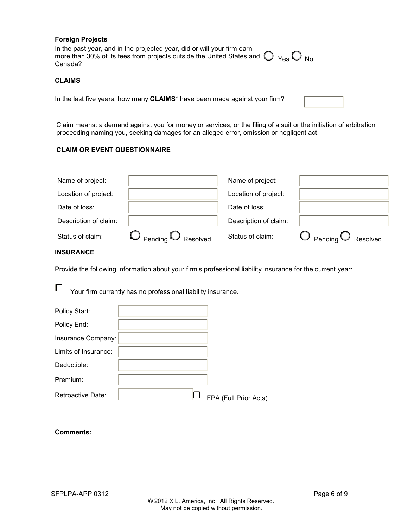#### **Foreign Projects**

In the past year, and in the projected year, did or will your firm earn more than 30% of its fees from projects outside the United States and  $\bigcup_{\mathsf{Yes}} \bigcup_{\mathsf{No}}$ 

### **CLAIMS**

In the last five years, how many **CLAIMS**\* have been made against your firm?

Claim means: a demand against you for money or services, or the filing of a suit or the initiation of arbitration proceeding naming you, seeking damages for an alleged error, omission or negligent act.

#### **CLAIM OR EVENT QUESTIONNAIRE**

| Name of project:      |                                           | Name of project:      |                                |
|-----------------------|-------------------------------------------|-----------------------|--------------------------------|
| Location of project:  |                                           | Location of project:  |                                |
| Date of loss:         |                                           | Date of loss:         |                                |
| Description of claim: |                                           | Description of claim: |                                |
| Status of claim:      | $\bigcirc$ Pending $\bigcirc$<br>Resolved | Status of claim:      | Pending $\bigcirc$<br>Resolved |

## **INSURANCE**

Provide the following information about your firm's professional liability insurance for the current year:

 $\Box$ Your firm currently has no professional liability insurance.

| Policy Start:        |                       |
|----------------------|-----------------------|
| Policy End:          |                       |
| Insurance Company:   |                       |
| Limits of Insurance: |                       |
| Deductible:          |                       |
| Premium:             |                       |
| Retroactive Date:    | FPA (Full Prior Acts) |

#### **Comments:**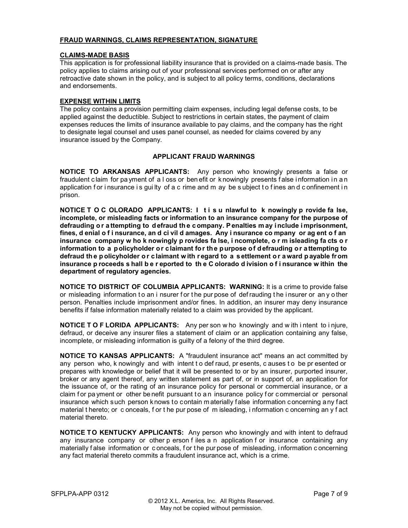## **FRAUD WARNINGS, CLAIMS REPRESENTATION, SIGNATURE**

### **CLAIMS-MADE BASIS**

This application is for professional liability insurance that is provided on a claims-made basis. The policy applies to claims arising out of your professional services performed on or after any retroactive date shown in the policy, and is subject to all policy terms, conditions, declarations and endorsements.

### **EXPENSE WITHIN LIMITS**

The policy contains a provision permitting claim expenses, including legal defense costs, to be applied against the deductible. Subject to restrictions in certain states, the payment of claim expenses reduces the limits of insurance available to pay claims, and the company has the right to designate legal counsel and uses panel counsel, as needed for claims covered by any insurance issued by the Company.

#### **APPLICANT FRAUD WARNINGS**

**NOTICE TO ARKANSAS APPLICANTS:** Any person who knowingly presents a false or fraudulent claim for pa yment of a I oss or ben efit or k nowingly presents false i nformation in a n application for i nsurance is gui lty of a c rime and m ay be subject to fines and confinement in prison.

**NOTICE T O C OLORADO APPLICANTS: I t i s u nlawful to k nowingly p rovide fa lse, incomplete, or misleading facts or information to an insurance company for the purpose of defrauding o r a ttempting to d efraud th e c ompany. P enalties m ay i nclude i mprisonment, fines, d enial o f i nsurance, an d ci vil d amages. Any i nsurance co mpany or ag ent o f an insurance company w ho k nowingly p rovides fa lse, i ncomplete, o r m isleading fa cts o r information to a policyholder or claimant for the purpose of defrauding or attempting to defraud th e p olicyholder o r c laimant w ith r egard to a s ettlement o r a ward p ayable fr om insurance p roceeds s hall b e r eported to th e C olorado d ivision o f i nsurance w ithin the department of regulatory agencies.**

**NOTICE TO DISTRICT OF COLUMBIA APPLICANTS: WARNING:** It is a crime to provide false or misleading information to an i nsurer for the pur pose of defrauding the insurer or any other person. Penalties include imprisonment and/or fines. In addition, an insurer may deny insurance benefits if false information materially related to a claim was provided by the applicant.

**NOTICE T O F LORIDA APPLICANTS:** Any per son w ho knowingly and w ith i ntent to i njure, defraud, or deceive any insurer files a statement of claim or an application containing any false, incomplete, or misleading information is guilty of a felony of the third degree.

**NOTICE TO KANSAS APPLICANTS:** A "fraudulent insurance act" means an act committed by any person who, k nowingly and with intent t o def raud, pr esents, c auses t o be pr esented or prepares with knowledge or belief that it will be presented to or by an insurer, purported insurer, broker or any agent thereof, any written statement as part of, or in support of, an application for the issuance of, or the rating of an insurance policy for personal or commercial insurance, or a claim for pa yment or other be nefit pursuant to a n insurance policy for commercial or personal insurance which such person k nows to contain m aterially false information concerning any fact material t hereto; or c onceals, f or t he pur pose of m isleading, i nformation c oncerning an y f act material thereto.

**NOTICE TO KENTUCKY APPLICANTS:** Any person who knowingly and with intent to defraud any insurance company or other p erson f iles a n application f or insurance containing any materially f alse information or c onceals, f or t he pur pose of misleading, i nformation c oncerning any fact material thereto commits a fraudulent insurance act, which is a crime.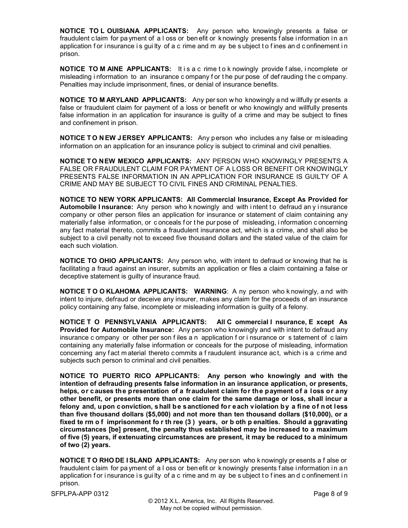**NOTICE TO L OUISIANA APPLICANTS:** Any person who knowingly presents a false or fraudulent claim for pa yment of a I oss or ben efit or k nowingly presents false i nformation in a n application for i nsurance is gui lty of a c rime and m ay be subject to fines and confinement in prison.

**NOTICE TO M AINE APPLICANTS:** It is a c rime to k nowingly provide false, i ncomplete or misleading i nformation to an insurance c ompany f or t he pur pose of def rauding t he c ompany. Penalties may include imprisonment, fines, or denial of insurance benefits.

**NOTICE TO M ARYLAND APPLICANTS:** Any per son w ho knowingly a nd w illfully pr esents a false or fraudulent claim for payment of a loss or benefit or who knowingly and willfully presents false information in an application for insurance is guilty of a crime and may be subject to fines and confinement in prison.

**NOTICE TO NEW JERSEY APPLICANTS:** Any person who includes any false or misleading information on an application for an insurance policy is subject to criminal and civil penalties.

**NOTICE T O NEW MEXICO APPLICANTS:** ANY PERSON WHO KNOWINGLY PRESENTS A FALSE OR FRAUDULENT CLAIM FOR PAYMENT OF A LOSS OR BENEFIT OR KNOWINGLY PRESENTS FALSE INFORMATION IN AN APPLICATION FOR INSURANCE IS GUILTY OF A CRIME AND MAY BE SUBJECT TO CIVIL FINES AND CRIMINAL PENALTIES.

**NOTICE TO NEW YORK APPLICANTS: All Commercial Insurance, Except As Provided for**  Automobile I nsurance: Any person who k nowingly and with intent to defraud any insurance company or other person files an application for insurance or statement of claim containing any materially f alse information, or c onceals f or t he pur pose of misleading, i nformation c oncerning any fact material thereto, commits a fraudulent insurance act, which is a crime, and shall also be subject to a civil penalty not to exceed five thousand dollars and the stated value of the claim for each such violation.

**NOTICE TO OHIO APPLICANTS:** Any person who, with intent to defraud or knowing that he is facilitating a fraud against an insurer, submits an application or files a claim containing a false or deceptive statement is guilty of insurance fraud.

**NOTICE T O O KLAHOMA APPLICANTS: WARNING**: A ny person who k nowingly, a nd with intent to injure, defraud or deceive any insurer, makes any claim for the proceeds of an insurance policy containing any false, incomplete or misleading information is guilty of a felony.

**NOTICE T O PENNSYLVANIA APPLICANTS: All C ommercial I nsurance, E xcept As Provided for Automobile Insurance:** Any person who knowingly and with intent to defraud any insurance c ompany or other per son f iles a n application f or i nsurance or s tatement of c laim containing any materially false information or conceals for the purpose of misleading, information concerning any fact m aterial thereto commits a f raudulent insurance act, which is a crime and subjects such person to criminal and civil penalties.

**NOTICE TO PUERTO RICO APPLICANTS: Any person who knowingly and with the intention of defrauding presents false information in an insurance application, or presents, helps, or causes the presentation of a fraudulent claim for the payment of a loss or any other benefit, or presents more than one claim for the same damage or loss, shall incur a felony and, upon conviction, shall be sanctioned for each violation by a fine of not less than five thousand dollars (\$5,000) and not more than ten thousand dollars (\$10,000), or a fixed te rm o f imprisonment fo r th ree (3 ) years, or b oth p enalties. Should a ggravating circumstances [be] present, the penalty thus established may be increased to a maximum of five (5) years, if extenuating circumstances are present, it may be reduced to a minimum of two (2) years.**

**NOTICE T O RHO DE I SLAND APPLICANTS:** Any per son who k nowingly presents a f alse or fraudulent c laim for pa yment of a l oss or ben efit or k nowingly presents f alse i nformation i n a n application for i nsurance is gui lty of a c rime and m ay be subject to fines and confinement in prison.

SFPLPA-APP 0312 Page 8 of 9